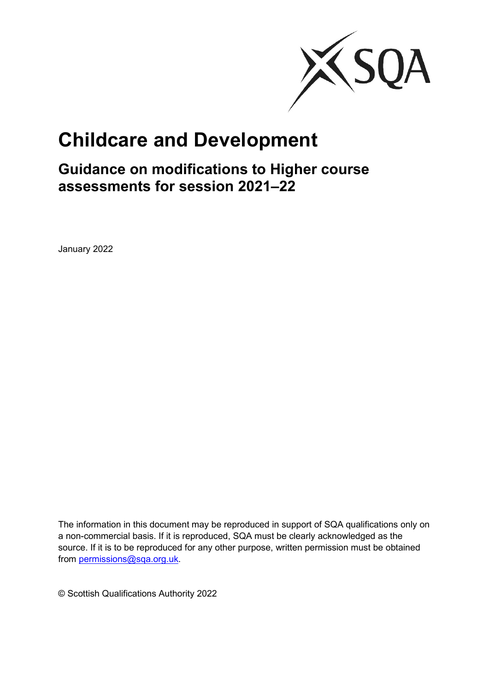

# **Childcare and Development**

**Guidance on modifications to Higher course assessments for session 2021–22**

January 2022

The information in this document may be reproduced in support of SQA qualifications only on a non-commercial basis. If it is reproduced, SQA must be clearly acknowledged as the source. If it is to be reproduced for any other purpose, written permission must be obtained from [permissions@sqa.org.uk.](https://sqanow.sharepoint.com/sites/nqsubjects/care1/GuidanceDocumentsandCommunications/Shared%20Documents/permissions@sqa.org.uk)

© Scottish Qualifications Authority 2022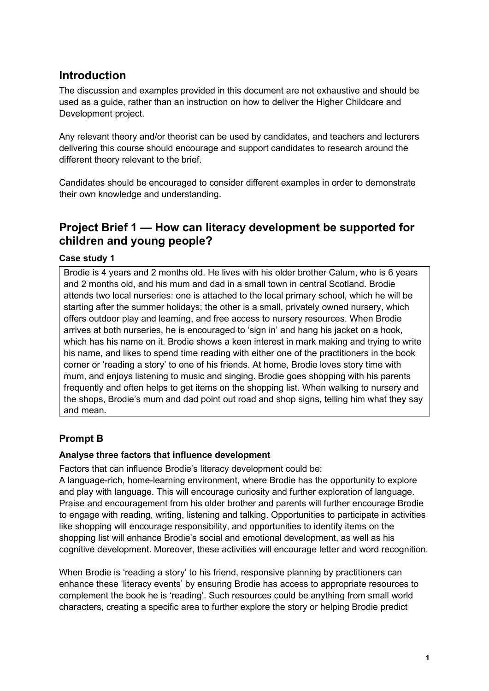# **Introduction**

The discussion and examples provided in this document are not exhaustive and should be used as a guide, rather than an instruction on how to deliver the Higher Childcare and Development project.

Any relevant theory and/or theorist can be used by candidates, and teachers and lecturers delivering this course should encourage and support candidates to research around the different theory relevant to the brief.

Candidates should be encouraged to consider different examples in order to demonstrate their own knowledge and understanding.

# **Project Brief 1 — How can literacy development be supported for children and young people?**

#### **Case study 1**

Brodie is 4 years and 2 months old. He lives with his older brother Calum, who is 6 years and 2 months old, and his mum and dad in a small town in central Scotland. Brodie attends two local nurseries: one is attached to the local primary school, which he will be starting after the summer holidays; the other is a small, privately owned nursery, which offers outdoor play and learning, and free access to nursery resources. When Brodie arrives at both nurseries, he is encouraged to 'sign in' and hang his jacket on a hook, which has his name on it. Brodie shows a keen interest in mark making and trying to write his name, and likes to spend time reading with either one of the practitioners in the book corner or 'reading a story' to one of his friends. At home, Brodie loves story time with mum, and enjoys listening to music and singing. Brodie goes shopping with his parents frequently and often helps to get items on the shopping list. When walking to nursery and the shops, Brodie's mum and dad point out road and shop signs, telling him what they say and mean.

## **Prompt B**

#### **Analyse three factors that influence development**

Factors that can influence Brodie's literacy development could be:

A language-rich, home-learning environment, where Brodie has the opportunity to explore and play with language. This will encourage curiosity and further exploration of language. Praise and encouragement from his older brother and parents will further encourage Brodie to engage with reading, writing, listening and talking. Opportunities to participate in activities like shopping will encourage responsibility, and opportunities to identify items on the shopping list will enhance Brodie's social and emotional development, as well as his cognitive development. Moreover, these activities will encourage letter and word recognition.

When Brodie is 'reading a story' to his friend, responsive planning by practitioners can enhance these 'literacy events' by ensuring Brodie has access to appropriate resources to complement the book he is 'reading'. Such resources could be anything from small world characters, creating a specific area to further explore the story or helping Brodie predict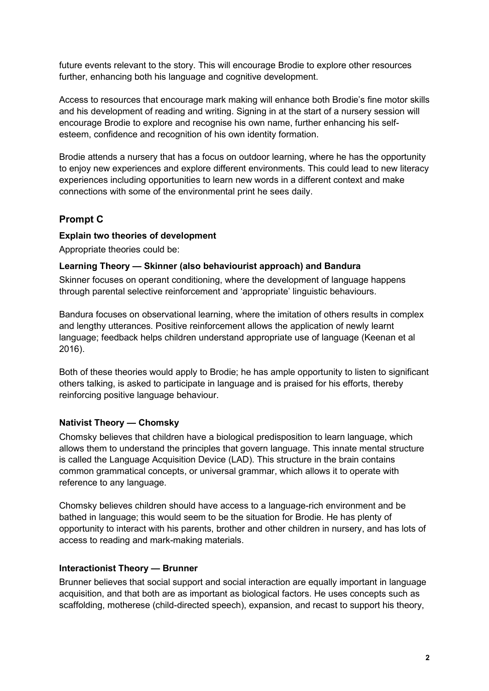future events relevant to the story. This will encourage Brodie to explore other resources further, enhancing both his language and cognitive development.

Access to resources that encourage mark making will enhance both Brodie's fine motor skills and his development of reading and writing. Signing in at the start of a nursery session will encourage Brodie to explore and recognise his own name, further enhancing his selfesteem, confidence and recognition of his own identity formation.

Brodie attends a nursery that has a focus on outdoor learning, where he has the opportunity to enjoy new experiences and explore different environments. This could lead to new literacy experiences including opportunities to learn new words in a different context and make connections with some of the environmental print he sees daily.

## **Prompt C**

#### **Explain two theories of development**

Appropriate theories could be:

#### **Learning Theory — Skinner (also behaviourist approach) and Bandura**

Skinner focuses on operant conditioning, where the development of language happens through parental selective reinforcement and 'appropriate' linguistic behaviours.

Bandura focuses on observational learning, where the imitation of others results in complex and lengthy utterances. Positive reinforcement allows the application of newly learnt language; feedback helps children understand appropriate use of language (Keenan et al 2016).

Both of these theories would apply to Brodie; he has ample opportunity to listen to significant others talking, is asked to participate in language and is praised for his efforts, thereby reinforcing positive language behaviour.

#### **Nativist Theory — Chomsky**

Chomsky believes that children have a biological predisposition to learn language, which allows them to understand the principles that govern language. This innate mental structure is called the Language Acquisition Device (LAD). This structure in the brain contains common grammatical concepts, or universal grammar, which allows it to operate with reference to any language.

Chomsky believes children should have access to a language-rich environment and be bathed in language; this would seem to be the situation for Brodie. He has plenty of opportunity to interact with his parents, brother and other children in nursery, and has lots of access to reading and mark-making materials.

#### **Interactionist Theory — Brunner**

Brunner believes that social support and social interaction are equally important in language acquisition, and that both are as important as biological factors. He uses concepts such as scaffolding, motherese (child-directed speech), expansion, and recast to support his theory,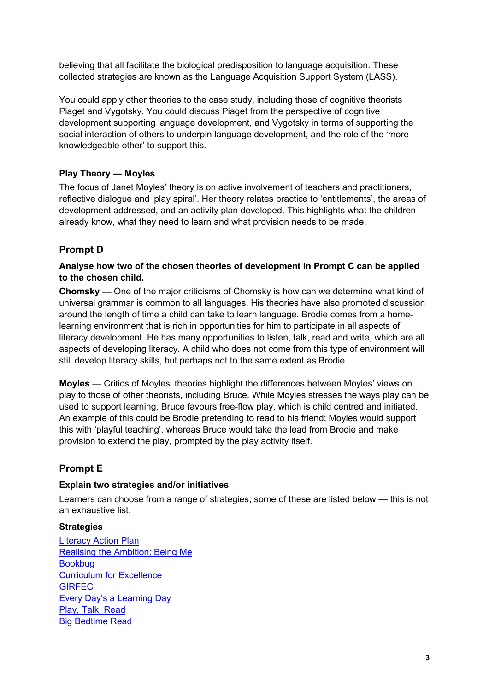believing that all facilitate the biological predisposition to language acquisition. These collected strategies are known as the Language Acquisition Support System (LASS).

You could apply other theories to the case study, including those of cognitive theorists Piaget and Vygotsky. You could discuss Piaget from the perspective of cognitive development supporting language development, and Vygotsky in terms of supporting the social interaction of others to underpin language development, and the role of the 'more knowledgeable other' to support this.

#### **Play Theory — Moyles**

The focus of Janet Moyles' theory is on active involvement of teachers and practitioners, reflective dialogue and 'play spiral'. Her theory relates practice to 'entitlements', the areas of development addressed, and an activity plan developed. This highlights what the children already know, what they need to learn and what provision needs to be made.

#### **Prompt D**

#### **Analyse how two of the chosen theories of development in Prompt C can be applied to the chosen child.**

**Chomsky** — One of the major criticisms of Chomsky is how can we determine what kind of universal grammar is common to all languages. His theories have also promoted discussion around the length of time a child can take to learn language. Brodie comes from a homelearning environment that is rich in opportunities for him to participate in all aspects of literacy development. He has many opportunities to listen, talk, read and write, which are all aspects of developing literacy. A child who does not come from this type of environment will still develop literacy skills, but perhaps not to the same extent as Brodie.

**Moyles** — Critics of Moyles' theories highlight the differences between Moyles' views on play to those of other theorists, including Bruce. While Moyles stresses the ways play can be used to support learning, Bruce favours free-flow play, which is child centred and initiated. An example of this could be Brodie pretending to read to his friend; Moyles would support this with 'playful teaching', whereas Bruce would take the lead from Brodie and make provision to extend the play, prompted by the play activity itself.

## **Prompt E**

#### **Explain two strategies and/or initiatives**

Learners can choose from a range of strategies; some of these are listed below — this is not an exhaustive list.

#### **Strategies**

[Literacy Action Plan](https://www.gov.scot/publications/literacy-action-plan-action-plan-improve-literacy-scotland/) [Realising the Ambition: Being Me](https://education.gov.scot/improvement/learning-resources/realising-the-ambition/) [Bookbug](https://www.scottishbooktrust.com/bookbug) [Curriculum for Excellence](https://education.gov.scot/education-scotland/scottish-education-system/policy-for-scottish-education/policy-drivers/cfe-building-from-the-statement-appendix-incl-btc1-5/what-is-curriculum-for-excellence) **[GIRFEC](https://www.gov.scot/policies/girfec/)** Every Day's [a Learning Day](https://education.gov.scot/parentzone/Documents/EveryDaysaLearningDay3to6.pdf) [Play, Talk, Read](https://www.parentclub.scot/articles/play-talk-read) [Big Bedtime Read](https://www.gettingreadytolearn.co.uk/themes/bigbedtimeread/)